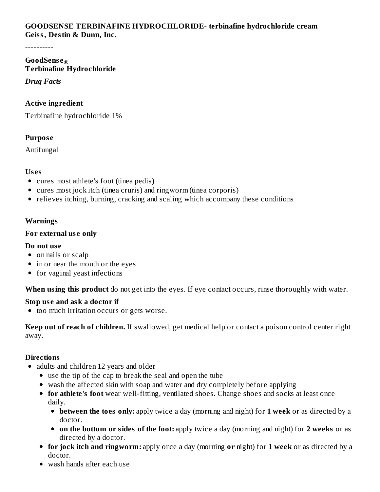### **GOODSENSE TERBINAFINE HYDROCHLORIDE- terbinafine hydrochloride cream Geiss, Destin & Dunn, Inc.**

----------

### **GoodSens e ®Terbinafine Hydrochloride**

### *Drug Facts*

## **Active ingredient**

Terbinafine hydrochloride 1%

# **Purpos e**

Antifungal

# **Us es**

- cures most athlete's foot (tinea pedis)
- cures most jock itch (tinea cruris) and ringworm (tinea corporis)
- relieves itching, burning, cracking and scaling which accompany these conditions

# **Warnings**

# **For external us e only**

## **Do not us e**

- on nails or scalp
- in or near the mouth or the eyes
- for vaginal yeast infections

**When using this product** do not get into the eyes. If eye contact occurs, rinse thoroughly with water.

# **Stop us e and ask a doctor if**

too much irritation occurs or gets worse.

**Keep out of reach of children.** If swallowed, get medical help or contact a poison control center right away.

# **Directions**

- adults and children 12 years and older
	- use the tip of the cap to break the seal and open the tube
	- wash the affected skin with soap and water and dry completely before applying
	- **for athlete's foot** wear well-fitting, ventilated shoes. Change shoes and socks at least once daily.
		- **between the toes only:** apply twice a day (morning and night) for **1 week** or as directed by a doctor.
		- **on the bottom or sides of the foot:** apply twice a day (morning and night) for **2 weeks** or as directed by a doctor.
	- **for jock itch and ringworm:** apply once a day (morning **or** night) for **1 week** or as directed by a doctor.
	- wash hands after each use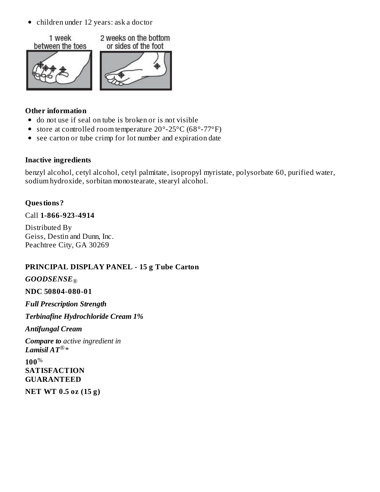children under 12 years: ask a doctor



### **Other information**

- do not use if seal on tube is broken or is not visible
- store at controlled room temperature 20°-25°C (68°-77°F)
- see carton or tube crimp for lot number and expiration date

### **Inactive ingredients**

benzyl alcohol, cetyl alcohol, cetyl palmitate, isopropyl myristate, polysorbate 60, purified water, sodium hydroxide, sorbitan monostearate, stearyl alcohol.

## **Questions?**

### Call **1-866-923-4914**

Distributed By Geiss, Destin and Dunn, Inc. Peachtree City, GA 30269

## **PRINCIPAL DISPLAY PANEL - 15 g Tube Carton**

# *GOODSENSE* ®

#### **NDC 50804-080-01**

*Full Prescription Strength*

*Terbinafine Hydrochloride Cream 1%*

#### *Antifungal Cream*

*Compare to active ingredient in*  $L$ *amisil*  $AT^{\circledR}*$ 

**100** %**SATISFACTION GUARANTEED**

**NET WT 0.5 oz (15 g)**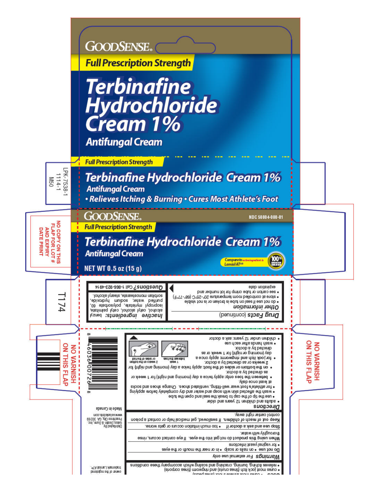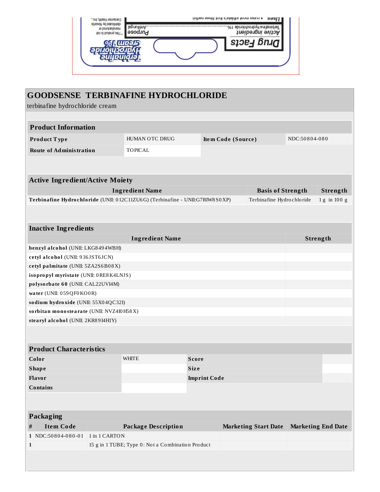| та ратроватива<br>fon at foutbong art T * | 18ľ<br><b>B</b> asod <sub>J</sub> n <sub>d</sub> | .%1 ebinolnoonbynl enitisnid el<br>Active ingredient |
|-------------------------------------------|--------------------------------------------------|------------------------------------------------------|
|                                           | <b>LUDSIS</b>                                    | <b>SIDE-I BRUC</b>                                   |
|                                           |                                                  |                                                      |

| <b>GOODSENSE TERBINAFINE HYDROCHLORIDE</b><br>terbinafine hydrochloride cream |                                                   |                     |                    |                             |               |                           |  |  |
|-------------------------------------------------------------------------------|---------------------------------------------------|---------------------|--------------------|-----------------------------|---------------|---------------------------|--|--|
|                                                                               |                                                   |                     |                    |                             |               |                           |  |  |
| <b>Product Information</b>                                                    |                                                   |                     |                    |                             |               |                           |  |  |
| Product Type                                                                  | HUMAN OTC DRUG                                    |                     | Item Code (Source) |                             | NDC:50804-080 |                           |  |  |
| <b>Route of Administration</b>                                                | <b>TOPICAL</b>                                    |                     |                    |                             |               |                           |  |  |
|                                                                               |                                                   |                     |                    |                             |               |                           |  |  |
| <b>Active Ingredient/Active Moiety</b>                                        |                                                   |                     |                    |                             |               |                           |  |  |
|                                                                               | <b>Ingredient Name</b>                            |                     |                    | <b>Basis of Strength</b>    |               | Strength                  |  |  |
| Terbinafine Hydrochloride (UNII: 012C11ZU6G) (Terbinafine - UNII:G7RIW8S0XP)  |                                                   |                     |                    | Terbinafine Hydrochloride   |               | 1g in 100 g               |  |  |
|                                                                               |                                                   |                     |                    |                             |               |                           |  |  |
| <b>Inactive Ingredients</b>                                                   |                                                   |                     |                    |                             |               |                           |  |  |
|                                                                               | <b>Ingredient Name</b>                            |                     |                    |                             |               | Strength                  |  |  |
| benzyl alcohol (UNII: LKG8494WBH)                                             |                                                   |                     |                    |                             |               |                           |  |  |
| cetyl alcohol (UNII: 936JST6JCN)                                              |                                                   |                     |                    |                             |               |                           |  |  |
| cetyl palmitate (UNII: 5ZA2S6B08X)                                            |                                                   |                     |                    |                             |               |                           |  |  |
| isopropyl myristate (UNII: 0RE8K4LNJS)                                        |                                                   |                     |                    |                             |               |                           |  |  |
| polysorbate 60 (UNII: CAL22UVI4M)                                             |                                                   |                     |                    |                             |               |                           |  |  |
| water (UNII: 059QF0KO0R)                                                      |                                                   |                     |                    |                             |               |                           |  |  |
| sodium hydroxide (UNII: 55X04QC32I)                                           |                                                   |                     |                    |                             |               |                           |  |  |
| sorbitan monostearate (UNII: NVZ4I0H58X)                                      |                                                   |                     |                    |                             |               |                           |  |  |
| stearyl alcohol (UNII: 2KR89I4H1Y)                                            |                                                   |                     |                    |                             |               |                           |  |  |
|                                                                               |                                                   |                     |                    |                             |               |                           |  |  |
| <b>Product Characteristics</b>                                                |                                                   |                     |                    |                             |               |                           |  |  |
| Color                                                                         | <b>WHITE</b>                                      | <b>Score</b>        |                    |                             |               |                           |  |  |
| <b>Shape</b>                                                                  |                                                   | <b>Size</b>         |                    |                             |               |                           |  |  |
| Flavor                                                                        |                                                   | <b>Imprint Code</b> |                    |                             |               |                           |  |  |
| <b>Contains</b>                                                               |                                                   |                     |                    |                             |               |                           |  |  |
|                                                                               |                                                   |                     |                    |                             |               |                           |  |  |
| <b>Packaging</b>                                                              |                                                   |                     |                    |                             |               |                           |  |  |
| <b>Item Code</b><br>$^{\#}$                                                   | <b>Package Description</b>                        |                     |                    | <b>Marketing Start Date</b> |               | <b>Marketing End Date</b> |  |  |
| 1 NDC:50804-080-01<br>1 in 1 CARTON                                           |                                                   |                     |                    |                             |               |                           |  |  |
| $\mathbf{1}$                                                                  | 15 g in 1 TUBE; Type 0: Not a Combination Product |                     |                    |                             |               |                           |  |  |
|                                                                               |                                                   |                     |                    |                             |               |                           |  |  |